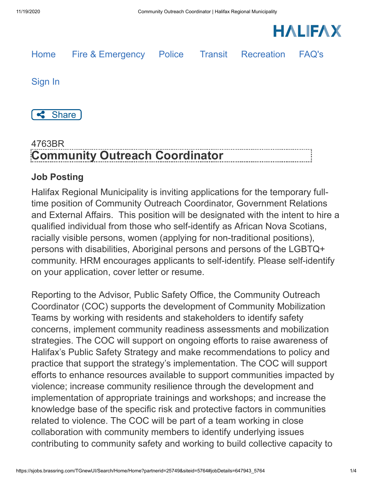



## 4763BR **Community Outreach Coordinator**

## **Job Posting**

Halifax Regional Municipality is inviting applications for the temporary fulltime position of Community Outreach Coordinator, Government Relations and External Affairs. This position will be designated with the intent to hire a qualified individual from those who self-identify as African Nova Scotians, racially visible persons, women (applying for non-traditional positions), persons with disabilities, Aboriginal persons and persons of the LGBTQ+ community. HRM encourages applicants to self-identify. Please self-identify on your application, cover letter or resume.

Reporting to the Advisor, Public Safety Office, the Community Outreach Coordinator (COC) supports the development of Community Mobilization Teams by working with residents and stakeholders to identify safety concerns, implement community readiness assessments and mobilization strategies. The COC will support on ongoing efforts to raise awareness of Halifax's Public Safety Strategy and make recommendations to policy and practice that support the strategy's implementation. The COC will support efforts to enhance resources available to support communities impacted by violence; increase community resilience through the development and implementation of appropriate trainings and workshops; and increase the knowledge base of the specific risk and protective factors in communities related to violence. The COC will be part of a team working in close collaboration with community members to identify underlying issues contributing to community safety and working to build collective capacity to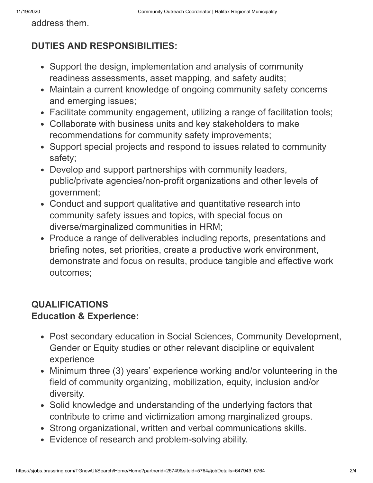address them.

## **DUTIES AND RESPONSIBILITIES:**

- Support the design, implementation and analysis of community readiness assessments, asset mapping, and safety audits;
- Maintain a current knowledge of ongoing community safety concerns and emerging issues;
- Facilitate community engagement, utilizing a range of facilitation tools;
- Collaborate with business units and key stakeholders to make recommendations for community safety improvements;
- Support special projects and respond to issues related to community safety;
- Develop and support partnerships with community leaders, public/private agencies/non-profit organizations and other levels of government;
- Conduct and support qualitative and quantitative research into community safety issues and topics, with special focus on diverse/marginalized communities in HRM;
- Produce a range of deliverables including reports, presentations and briefing notes, set priorities, create a productive work environment, demonstrate and focus on results, produce tangible and effective work outcomes;

## **QUALIFICATIONS Education & Experience:**

- Post secondary education in Social Sciences, Community Development, Gender or Equity studies or other relevant discipline or equivalent experience
- Minimum three (3) years' experience working and/or volunteering in the field of community organizing, mobilization, equity, inclusion and/or diversity.
- Solid knowledge and understanding of the underlying factors that contribute to crime and victimization among marginalized groups.
- Strong organizational, written and verbal communications skills.
- Evidence of research and problem-solving ability.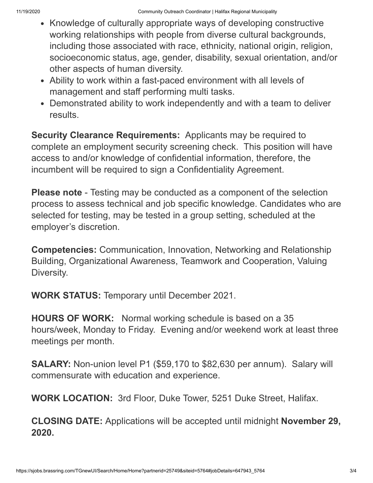- Knowledge of culturally appropriate ways of developing constructive working relationships with people from diverse cultural backgrounds, including those associated with race, ethnicity, national origin, religion, socioeconomic status, age, gender, disability, sexual orientation, and/or other aspects of human diversity.
- Ability to work within a fast-paced environment with all levels of management and staff performing multi tasks.
- Demonstrated ability to work independently and with a team to deliver results.

**Security Clearance Requirements:** Applicants may be required to complete an employment security screening check. This position will have access to and/or knowledge of confidential information, therefore, the incumbent will be required to sign a Confidentiality Agreement.

**Please note** - Testing may be conducted as a component of the selection process to assess technical and job specific knowledge. Candidates who are selected for testing, may be tested in a group setting, scheduled at the employer's discretion.

**Competencies:** Communication, Innovation, Networking and Relationship Building, Organizational Awareness, Teamwork and Cooperation, Valuing Diversity.

**WORK STATUS:** Temporary until December 2021.

**HOURS OF WORK:** Normal working schedule is based on a 35 hours/week, Monday to Friday. Evening and/or weekend work at least three meetings per month.

**SALARY:** Non-union level P1 (\$59,170 to \$82,630 per annum). Salary will commensurate with education and experience.

**WORK LOCATION:** 3rd Floor, Duke Tower, 5251 Duke Street, Halifax.

**CLOSING DATE:** Applications will be accepted until midnight **November 29, 2020.**